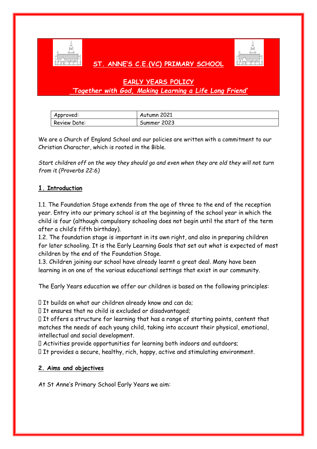

# **ST. ANNE'S C.E.(VC) PRIMARY SCHOOL**



# **EARLY YEARS POLICY** *'Together with God, Making Learning a Life Long Friend'*

| Approved:    | Autumn 2021 |
|--------------|-------------|
| Review Date: | Summer 2023 |

We are a Church of England School and our policies are written with a commitment to our Christian Character, which is rooted in the Bible.

*Start children off on the way they should go and even when they are old they will not turn from it (Proverbs 22:6)*

#### **1. Introduction**

1.1. The Foundation Stage extends from the age of three to the end of the reception year. Entry into our primary school is at the beginning of the school year in which the child is four (although compulsory schooling does not begin until the start of the term after a child's fifth birthday).

1.2. The foundation stage is important in its own right, and also in preparing children for later schooling. It is the Early Learning Goals that set out what is expected of most children by the end of the Foundation Stage.

1.3. Children joining our school have already learnt a great deal. Many have been learning in on one of the various educational settings that exist in our community.

The Early Years education we offer our children is based on the following principles:

If thuilds on what our children already know and can do;

 $\Box$  It ensures that no child is excluded or disadvantaged;

If the offers a structure for learning that has a range of starting points, content that matches the needs of each young child, taking into account their physical, emotional, intellectual and social development.

Activities provide opportunities for learning both indoors and outdoors;

It provides a secure, healthy, rich, happy, active and stimulating environment.

### **2. Aims and objectives**

At St Anne's Primary School Early Years we aim: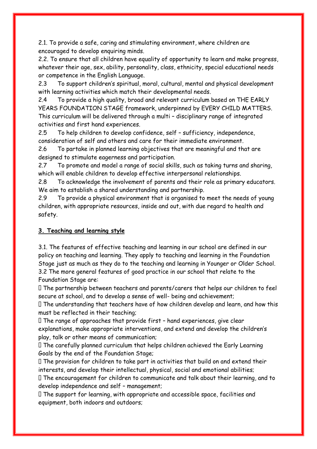2.1. To provide a safe, caring and stimulating environment, where children are encouraged to develop enquiring minds.

2.2. To ensure that all children have equality of opportunity to learn and make progress, whatever their age, sex, ability, personality, class, ethnicity, special educational needs or competence in the English Language.

2.3 To support children's spiritual, moral, cultural, mental and physical development with learning activities which match their developmental needs.

2.4 To provide a high quality, broad and relevant curriculum based on THE EARLY YEARS FOUNDATION STAGE framework, underpinned by EVERY CHILD MATTERS. This curriculum will be delivered through a multi – disciplinary range of integrated activities and first hand experiences.

2.5 To help children to develop confidence, self – sufficiency, independence, consideration of self and others and care for their immediate environment.

2.6 To partake in planned learning objectives that are meaningful and that are designed to stimulate eagerness and participation.

2.7 To promote and model a range of social skills, such as taking turns and sharing, which will enable children to develop effective interpersonal relationships.

2.8 To acknowledge the involvement of parents and their role as primary educators. We aim to establish a shared understanding and partnership.

2.9 To provide a physical environment that is organised to meet the needs of young children, with appropriate resources, inside and out, with due regard to health and safety.

### **3. Teaching and learning style**

3.1. The features of effective teaching and learning in our school are defined in our policy on teaching and learning. They apply to teaching and learning in the Foundation Stage just as much as they do to the teaching and learning in Younger or Older School. 3.2 The more general features of good practice in our school that relate to the Foundation Stage are:

The partnership between teachers and parents/carers that helps our children to feel secure at school, and to develop a sense of well- being and achievement;

The understanding that teachers have of how children develop and learn, and how this must be reflected in their teaching;

 $\Box$  The range of approaches that provide first - hand experiences, give clear explanations, make appropriate interventions, and extend and develop the children's play, talk or other means of communication;

The carefully planned curriculum that helps children achieved the Early Learning Goals by the end of the Foundation Stage;

 $\Box$  The provision for children to take part in activities that build on and extend their interests, and develop their intellectual, physical, social and emotional abilities;

The encouragement for children to communicate and talk about their learning, and to develop independence and self – management;

The support for learning, with appropriate and accessible space, facilities and equipment, both indoors and outdoors;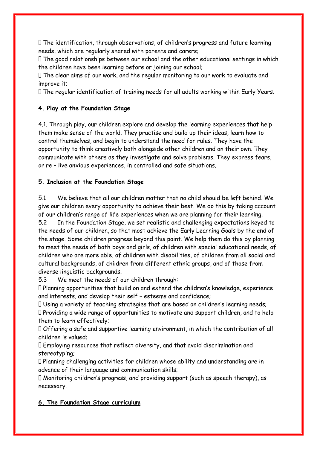The identification, through observations, of children's progress and future learning needs, which are regularly shared with parents and carers;

The good relationships between our school and the other educational settings in which the children have been learning before or joining our school;

The clear aims of our work, and the regular monitoring to our work to evaluate and improve it;

The regular identification of training needs for all adults working within Early Years.

# **4. Play at the Foundation Stage**

4.1. Through play, our children explore and develop the learning experiences that help them make sense of the world. They practise and build up their ideas, learn how to control themselves, and begin to understand the need for rules. They have the opportunity to think creatively both alongside other children and on their own. They communicate with others as they investigate and solve problems. They express fears, or re – live anxious experiences, in controlled and safe situations.

### **5. Inclusion at the Foundation Stage**

5.1 We believe that all our children matter that no child should be left behind. We give our children every opportunity to achieve their best. We do this by taking account of our children's range of life experiences when we are planning for their learning.

5.2 In the Foundation Stage, we set realistic and challenging expectations keyed to the needs of our children, so that most achieve the Early Learning Goals by the end of the stage. Some children progress beyond this point. We help them do this by planning to meet the needs of both boys and girls, of children with special educational needs, of children who are more able, of children with disabilities, of children from all social and cultural backgrounds, of children from different ethnic groups, and of those from diverse linguistic backgrounds.

5.3 We meet the needs of our children through:

Planning opportunities that build on and extend the children's knowledge, experience and interests, and develop their self – esteems and confidence;

Using a variety of teaching strategies that are based on children's learning needs;

Providing a wide range of opportunities to motivate and support children, and to help them to learn effectively;

Offering a safe and supportive learning environment, in which the contribution of all children is valued;

Employing resources that reflect diversity, and that avoid discrimination and stereotyping;

Planning challenging activities for children whose ability and understanding are in advance of their language and communication skills;

Monitoring children's progress, and providing support (such as speech therapy), as necessary.

### **6. The Foundation Stage curriculum**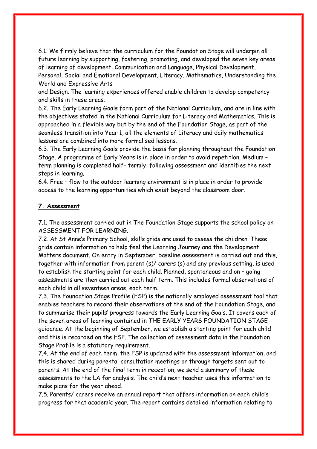6.1. We firmly believe that the curriculum for the Foundation Stage will underpin all future learning by supporting, fostering, promoting, and developed the seven key areas of learning of development: Communication and Language, Physical Development, Personal, Social and Emotional Development, Literacy, Mathematics, Understanding the World and Expressive Arts

and Design. The learning experiences offered enable children to develop competency and skills in these areas.

6.2. The Early Learning Goals form part of the National Curriculum, and are in line with the objectives stated in the National Curriculum for Literacy and Mathematics. This is approached in a flexible way but by the end of the Foundation Stage, as part of the seamless transition into Year 1, all the elements of Literacy and daily mathematics lessons are combined into more formalised lessons.

6.3. The Early Learning Goals provide the basis for planning throughout the Foundation Stage. A programme of Early Years is in place in order to avoid repetition. Medium – term planning is completed half- termly, following assessment and identifies the next steps in learning.

6.4. Free – flow to the outdoor learning environment is in place in order to provide access to the learning opportunities which exist beyond the classroom door.

#### **7. Assessment**

7.1. The assessment carried out in The Foundation Stage supports the school policy on ASSESSMENT FOR LEARNING.

7.2. At St Anne's Primary School, skills grids are used to assess the children. These grids contain information to help feel the Learning Journey and the Development Matters document. On entry in September, baseline assessment is carried out and this, together with information from parent (s)/ carers (s) and any previous setting, is used to establish the starting point for each child. Planned, spontaneous and on – going assessments are then carried out each half term. This includes formal observations of each child in all seventeen areas, each term.

7.3. The Foundation Stage Profile (FSP) is the nationally employed assessment tool that enables teachers to record their observations at the end of the Foundation Stage, and to summarise their pupils' progress towards the Early Learning Goals. It covers each of the seven areas of learning contained in THE EARLY YEARS FOUNDATION STAGE guidance. At the beginning of September, we establish a starting point for each child and this is recorded on the FSP. The collection of assessment data in the Foundation Stage Profile is a statutory requirement.

7.4. At the end of each term, the FSP is updated with the assessment information, and this is shared during parental consultation meetings or through targets sent out to parents. At the end of the final term in reception, we send a summary of these assessments to the LA for analysis. The child's next teacher uses this information to make plans for the year ahead.

7.5. Parents/ carers receive an annual report that offers information on each child's progress for that academic year. The report contains detailed information relating to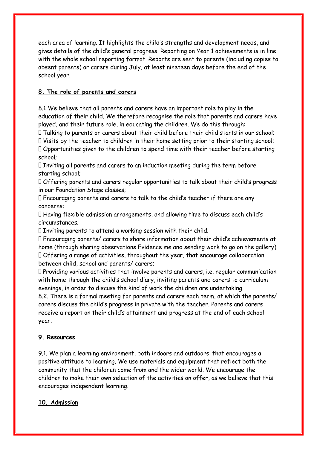each area of learning. It highlights the child's strengths and development needs, and gives details of the child's general progress. Reporting on Year 1 achievements is in line with the whole school reporting format. Reports are sent to parents (including copies to absent parents) or carers during July, at least nineteen days before the end of the school year.

# **8. The role of parents and carers**

8.1 We believe that all parents and carers have an important role to play in the education of their child. We therefore recognise the role that parents and carers have played, and their future role, in educating the children. We do this through:

Talking to parents or carers about their child before their child starts in our school;

Visits by the teacher to children in their home setting prior to their starting school; Opportunities given to the children to spend time with their teacher before starting school;

 $\Box$  Inviting all parents and carers to an induction meeting during the term before starting school;

Offering parents and carers regular opportunities to talk about their child's progress in our Foundation Stage classes;

Encouraging parents and carers to talk to the child's teacher if there are any concerns;

Having flexible admission arrangements, and allowing time to discuss each child's circumstances;

 $\Box$  Inviting parents to attend a working session with their child;

Encouraging parents/ carers to share information about their child's achievements at home (through sharing observations Evidence me and sending work to go on the gallery) Offering a range of activities, throughout the year, that encourage collaboration between child, school and parents/ carers;

Providing various activities that involve parents and carers, i.e. regular communication with home through the child's school diary, inviting parents and carers to curriculum evenings, in order to discuss the kind of work the children are undertaking.

8.2. There is a formal meeting for parents and carers each term, at which the parents/ carers discuss the child's progress in private with the teacher. Parents and carers receive a report on their child's attainment and progress at the end of each school year.

### **9. Resources**

9.1. We plan a learning environment, both indoors and outdoors, that encourages a positive attitude to learning. We use materials and equipment that reflect both the community that the children come from and the wider world. We encourage the children to make their own selection of the activities on offer, as we believe that this encourages independent learning.

### **10. Admission**